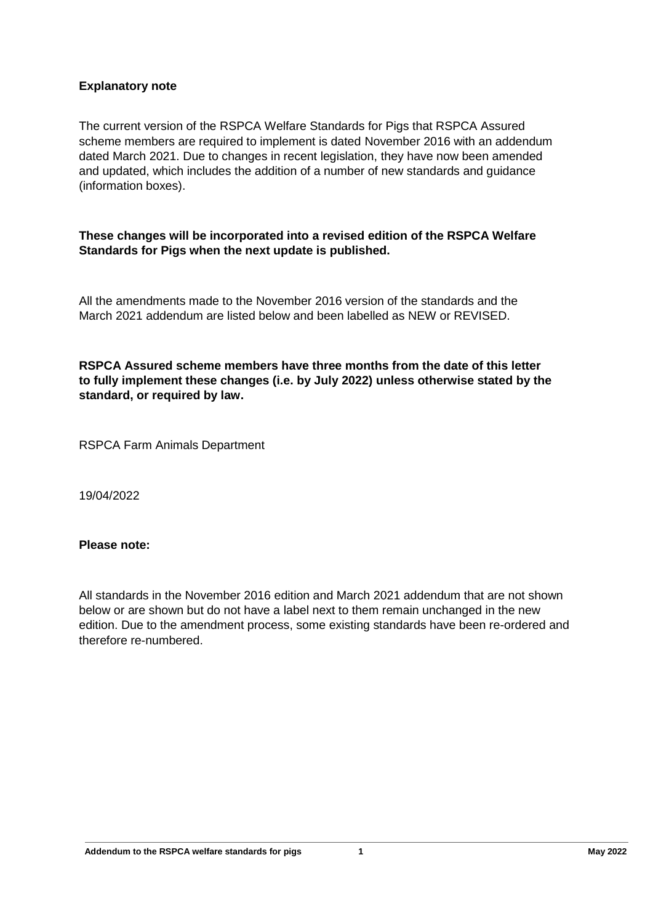## **Explanatory note**

The current version of the RSPCA Welfare Standards for Pigs that RSPCA Assured scheme members are required to implement is dated November 2016 with an addendum dated March 2021. Due to changes in recent legislation, they have now been amended and updated, which includes the addition of a number of new standards and guidance (information boxes).

### **These changes will be incorporated into a revised edition of the RSPCA Welfare Standards for Pigs when the next update is published.**

All the amendments made to the November 2016 version of the standards and the March 2021 addendum are listed below and been labelled as NEW or REVISED.

**RSPCA Assured scheme members have three months from the date of this letter to fully implement these changes (i.e. by July 2022) unless otherwise stated by the standard, or required by law.**

RSPCA Farm Animals Department

19/04/2022

#### **Please note:**

All standards in the November 2016 edition and March 2021 addendum that are not shown below or are shown but do not have a label next to them remain unchanged in the new edition. Due to the amendment process, some existing standards have been re-ordered and therefore re-numbered.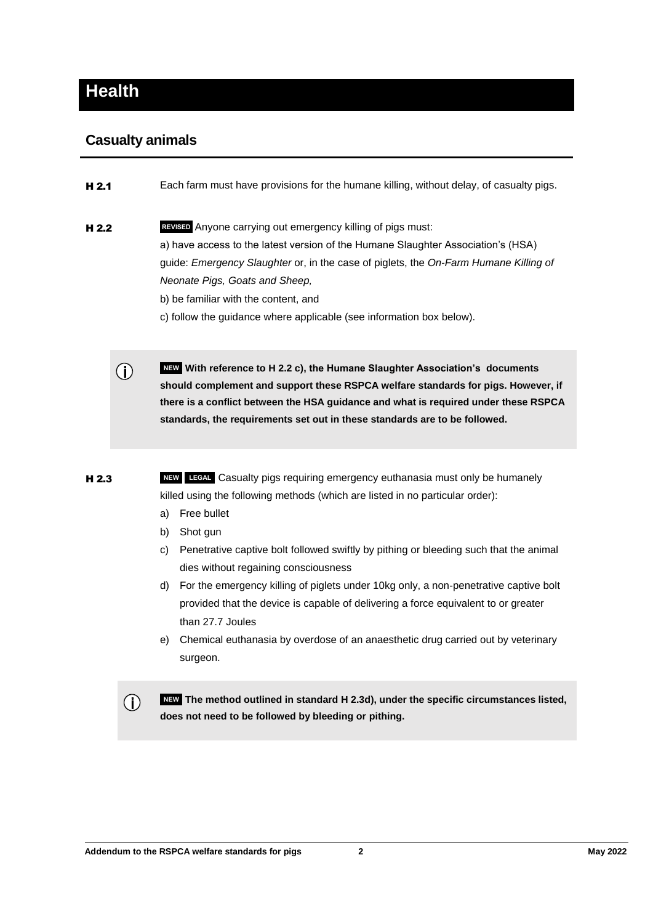# **Health**

# **Casualty animals**

 $(i)$ 

**H 2.1** Each farm must have provisions for the humane killing, without delay, of casualty pigs.

- **H 2.2** REVISED Anyone carrying out emergency killing of pigs must: a) have access to the latest version of the Humane Slaughter Association's (HSA) guide: *Emergency Slaughter* or, in the case of piglets, the *On-Farm Humane Killing of Neonate Pigs, Goats and Sheep,*  b) be familiar with the content, and
	- c) follow the guidance where applicable (see information box below).

 **NEW With reference to H 2.2 c), the Humane Slaughter Association's documents should complement and support these RSPCA welfare standards for pigs. However, if there is a conflict between the HSA guidance and what is required under these RSPCA standards, the requirements set out in these standards are to be followed.**

H 2.3 **NEW LEGAL** Casualty pigs requiring emergency euthanasia must only be humanely killed using the following methods (which are listed in no particular order):

- a) Free bullet
- b) Shot gun
- c) Penetrative captive bolt followed swiftly by pithing or bleeding such that the animal dies without regaining consciousness
- d) For the emergency killing of piglets under 10kg only, a non-penetrative captive bolt provided that the device is capable of delivering a force equivalent to or greater than 27.7 Joules
- e) Chemical euthanasia by overdose of an anaesthetic drug carried out by veterinary surgeon.

 **NEW The method outlined in standard H 2.3d), under the specific circumstances listed,**   $(i)$ **does not need to be followed by bleeding or pithing.**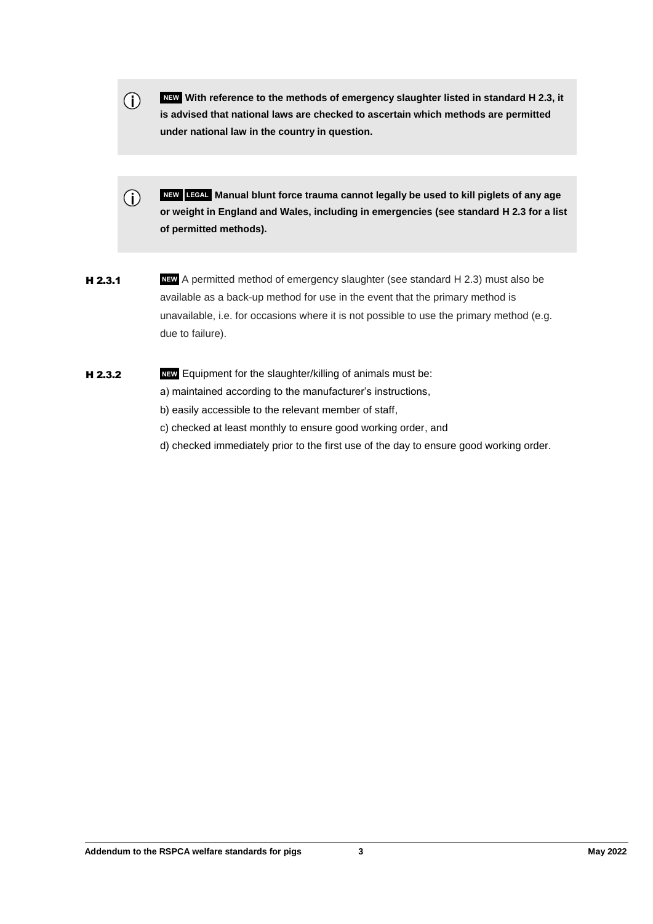- **NEW With reference to the methods of emergency slaughter listed in standard H 2.3, it**   $\bigcirc$ **is advised that national laws are checked to ascertain which methods are permitted under national law in the country in question.**
- $\bigcap$  **NEW LEGAL Manual blunt force trauma cannot legally be used to kill piglets of any age or weight in England and Wales, including in emergencies (see standard H 2.3 for a list of permitted methods).**
- **H 2.3.1** NEW A permitted method of emergency slaughter (see standard H 2.3) must also be available as a back-up method for use in the event that the primary method is unavailable, i.e. for occasions where it is not possible to use the primary method (e.g. due to failure).
- H 2.3.2 **NEW** Equipment for the slaughter/killing of animals must be: a) maintained according to the manufacturer's instructions, b) easily accessible to the relevant member of staff,
	- c) checked at least monthly to ensure good working order, and
	- d) checked immediately prior to the first use of the day to ensure good working order.